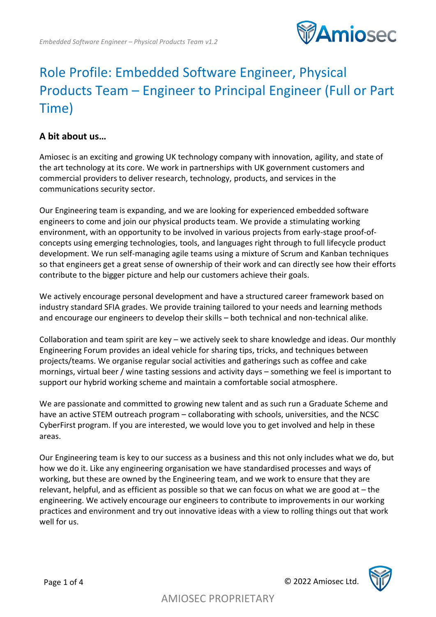

# Role Profile: Embedded Software Engineer, Physical Products Team – Engineer to Principal Engineer (Full or Part Time)

## **A bit about us…**

Amiosec is an exciting and growing UK technology company with innovation, agility, and state of the art technology at its core. We work in partnerships with UK government customers and commercial providers to deliver research, technology, products, and services in the communications security sector.

Our Engineering team is expanding, and we are looking for experienced embedded software engineers to come and join our physical products team. We provide a stimulating working environment, with an opportunity to be involved in various projects from early-stage proof-ofconcepts using emerging technologies, tools, and languages right through to full lifecycle product development. We run self-managing agile teams using a mixture of Scrum and Kanban techniques so that engineers get a great sense of ownership of their work and can directly see how their efforts contribute to the bigger picture and help our customers achieve their goals.

We actively encourage personal development and have a structured career framework based on industry standard SFIA grades. We provide training tailored to your needs and learning methods and encourage our engineers to develop their skills – both technical and non-technical alike.

Collaboration and team spirit are key – we actively seek to share knowledge and ideas. Our monthly Engineering Forum provides an ideal vehicle for sharing tips, tricks, and techniques between projects/teams. We organise regular social activities and gatherings such as coffee and cake mornings, virtual beer / wine tasting sessions and activity days – something we feel is important to support our hybrid working scheme and maintain a comfortable social atmosphere.

We are passionate and committed to growing new talent and as such run a Graduate Scheme and have an active STEM outreach program – collaborating with schools, universities, and the NCSC CyberFirst program. If you are interested, we would love you to get involved and help in these areas.

Our Engineering team is key to our success as a business and this not only includes what we do, but how we do it. Like any engineering organisation we have standardised processes and ways of working, but these are owned by the Engineering team, and we work to ensure that they are relevant, helpful, and as efficient as possible so that we can focus on what we are good at – the engineering. We actively encourage our engineers to contribute to improvements in our working practices and environment and try out innovative ideas with a view to rolling things out that work well for us.

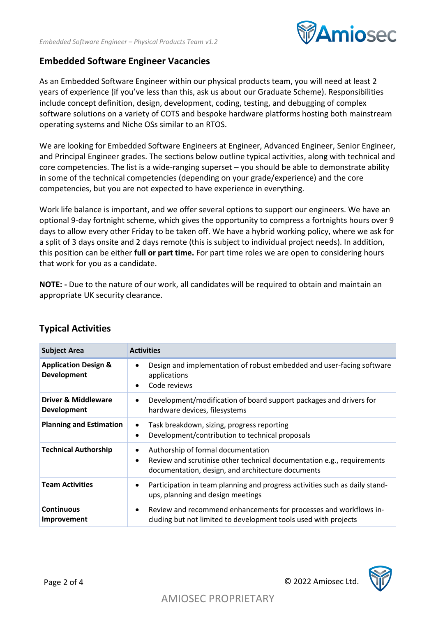

#### **Embedded Software Engineer Vacancies**

As an Embedded Software Engineer within our physical products team, you will need at least 2 years of experience (if you've less than this, ask us about our Graduate Scheme). Responsibilities include concept definition, design, development, coding, testing, and debugging of complex software solutions on a variety of COTS and bespoke hardware platforms hosting both mainstream operating systems and Niche OSs similar to an RTOS.

We are looking for Embedded Software Engineers at Engineer, Advanced Engineer, Senior Engineer, and Principal Engineer grades. The sections below outline typical activities, along with technical and core competencies. The list is a wide-ranging superset – you should be able to demonstrate ability in some of the technical competencies (depending on your grade/experience) and the core competencies, but you are not expected to have experience in everything.

Work life balance is important, and we offer several options to support our engineers. We have an optional 9-day fortnight scheme, which gives the opportunity to compress a fortnights hours over 9 days to allow every other Friday to be taken off. We have a hybrid working policy, where we ask for a split of 3 days onsite and 2 days remote (this is subject to individual project needs). In addition, this position can be either **full or part time.** For part time roles we are open to considering hours that work for you as a candidate.

**NOTE: -** Due to the nature of our work, all candidates will be required to obtain and maintain an appropriate UK security clearance.

| <b>Subject Area</b>                                   | <b>Activities</b>                                                                                                                                                                   |
|-------------------------------------------------------|-------------------------------------------------------------------------------------------------------------------------------------------------------------------------------------|
| <b>Application Design &amp;</b><br><b>Development</b> | Design and implementation of robust embedded and user-facing software<br>$\bullet$<br>applications<br>Code reviews<br>$\bullet$                                                     |
| <b>Driver &amp; Middleware</b><br><b>Development</b>  | Development/modification of board support packages and drivers for<br>$\bullet$<br>hardware devices, filesystems                                                                    |
| <b>Planning and Estimation</b>                        | Task breakdown, sizing, progress reporting<br>$\bullet$<br>Development/contribution to technical proposals<br>$\bullet$                                                             |
| <b>Technical Authorship</b>                           | Authorship of formal documentation<br>٠<br>Review and scrutinise other technical documentation e.g., requirements<br>$\bullet$<br>documentation, design, and architecture documents |
| <b>Team Activities</b>                                | Participation in team planning and progress activities such as daily stand-<br>$\bullet$<br>ups, planning and design meetings                                                       |
| <b>Continuous</b><br>Improvement                      | Review and recommend enhancements for processes and workflows in-<br>$\bullet$<br>cluding but not limited to development tools used with projects                                   |

#### **Typical Activities**

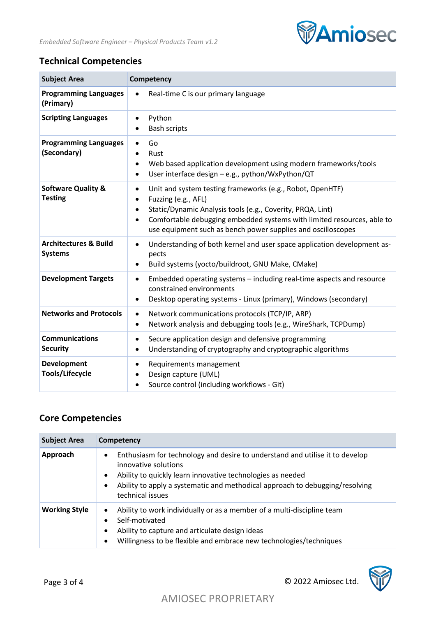

## **Technical Competencies**

| <b>Subject Area</b>                                | Competency                                                                                                                                                                                                                                                                                                                                   |
|----------------------------------------------------|----------------------------------------------------------------------------------------------------------------------------------------------------------------------------------------------------------------------------------------------------------------------------------------------------------------------------------------------|
| <b>Programming Languages</b><br>(Primary)          | Real-time C is our primary language<br>$\bullet$                                                                                                                                                                                                                                                                                             |
| <b>Scripting Languages</b>                         | Python<br>$\bullet$<br><b>Bash scripts</b>                                                                                                                                                                                                                                                                                                   |
| <b>Programming Languages</b><br>(Secondary)        | Go<br>$\bullet$<br>Rust<br>Web based application development using modern frameworks/tools<br>$\bullet$<br>User interface design - e.g., python/WxPython/QT<br>$\bullet$                                                                                                                                                                     |
| <b>Software Quality &amp;</b><br><b>Testing</b>    | Unit and system testing frameworks (e.g., Robot, OpenHTF)<br>$\bullet$<br>Fuzzing (e.g., AFL)<br>$\bullet$<br>Static/Dynamic Analysis tools (e.g., Coverity, PRQA, Lint)<br>$\bullet$<br>Comfortable debugging embedded systems with limited resources, able to<br>$\bullet$<br>use equipment such as bench power supplies and oscilloscopes |
| <b>Architectures &amp; Build</b><br><b>Systems</b> | Understanding of both kernel and user space application development as-<br>$\bullet$<br>pects<br>Build systems (yocto/buildroot, GNU Make, CMake)<br>$\bullet$                                                                                                                                                                               |
| <b>Development Targets</b>                         | Embedded operating systems - including real-time aspects and resource<br>$\bullet$<br>constrained environments<br>Desktop operating systems - Linux (primary), Windows (secondary)<br>$\bullet$                                                                                                                                              |
| <b>Networks and Protocols</b>                      | Network communications protocols (TCP/IP, ARP)<br>$\bullet$<br>Network analysis and debugging tools (e.g., WireShark, TCPDump)<br>$\bullet$                                                                                                                                                                                                  |
| <b>Communications</b><br><b>Security</b>           | Secure application design and defensive programming<br>$\bullet$<br>Understanding of cryptography and cryptographic algorithms<br>$\bullet$                                                                                                                                                                                                  |
| Development<br><b>Tools/Lifecycle</b>              | Requirements management<br>$\bullet$<br>Design capture (UML)<br>$\bullet$<br>Source control (including workflows - Git)<br>$\bullet$                                                                                                                                                                                                         |

# **Core Competencies**

| <b>Subject Area</b>  | Competency                                                                                                                                                                                                                                                                                                    |
|----------------------|---------------------------------------------------------------------------------------------------------------------------------------------------------------------------------------------------------------------------------------------------------------------------------------------------------------|
| Approach             | Enthusiasm for technology and desire to understand and utilise it to develop<br>$\bullet$<br>innovative solutions<br>Ability to quickly learn innovative technologies as needed<br>$\bullet$<br>Ability to apply a systematic and methodical approach to debugging/resolving<br>$\bullet$<br>technical issues |
| <b>Working Style</b> | Ability to work individually or as a member of a multi-discipline team<br>$\bullet$<br>Self-motivated<br>Ability to capture and articulate design ideas<br>٠<br>Willingness to be flexible and embrace new technologies/techniques<br>$\bullet$                                                               |